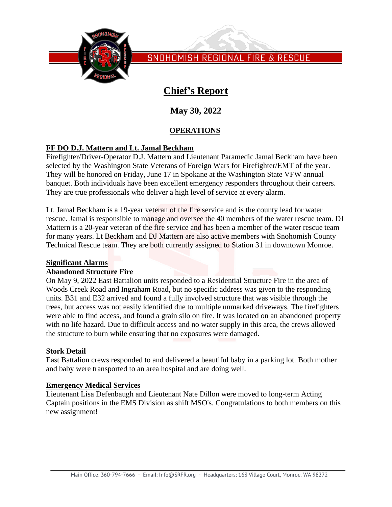

SNOHOMISH REGIONAL FIRE & RESCUE

# **Chief's Report**

**May 30, 2022**

## **OPERATIONS**

### **FF DO D.J. Mattern and Lt. Jamal Beckham**

Firefighter/Driver-Operator D.J. Mattern and Lieutenant Paramedic Jamal Beckham have been selected by the Washington State Veterans of Foreign Wars for Firefighter/EMT of the year. They will be honored on Friday, June 17 in Spokane at the Washington State VFW annual banquet. Both individuals have been excellent emergency responders throughout their careers. They are true professionals who deliver a high level of service at every alarm.

Lt. Jamal Beckham is a 19-year veteran of the fire service and is the county lead for water rescue. Jamal is responsible to manage and oversee the 40 members of the water rescue team. DJ Mattern is a 20-year veteran of the fire service and has been a member of the water rescue team for many years. Lt Beckham and DJ Mattern are also active members with Snohomish County Technical Rescue team. They are both currently assigned to Station 31 in downtown Monroe.

#### **Significant Alarms**

#### **Abandoned Structure Fire**

On May 9, 2022 East Battalion units responded to a Residential Structure Fire in the area of Woods Creek Road and Ingraham Road, but no specific address was given to the responding units. B31 and E32 arrived and found a fully involved structure that was visible through the trees, but access was not easily identified due to multiple unmarked driveways. The firefighters were able to find access, and found a grain silo on fire. It was located on an abandoned property with no life hazard. Due to difficult access and no water supply in this area, the crews allowed the structure to burn while ensuring that no exposures were damaged.

#### **Stork Detail**

East Battalion crews responded to and delivered a beautiful baby in a parking lot. Both mother and baby were transported to an area hospital and are doing well.

#### **Emergency Medical Services**

Lieutenant Lisa Defenbaugh and Lieutenant Nate Dillon were moved to long-term Acting Captain positions in the EMS Division as shift MSO's. Congratulations to both members on this new assignment!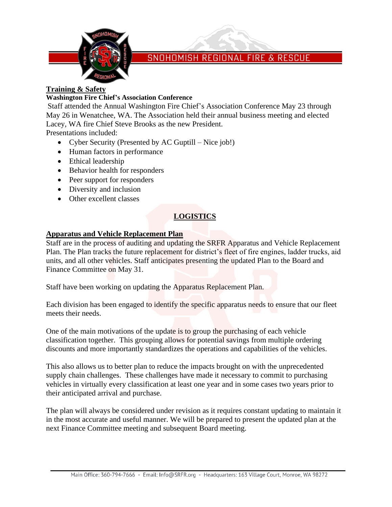

## SNOHOMISH REGIONAL FIRE & RESCUE

#### **Training & Safety**

#### **Washington Fire Chief's Association Conference**

Staff attended the Annual Washington Fire Chief's Association Conference May 23 through May 26 in Wenatchee, WA. The Association held their annual business meeting and elected Lacey, WA fire Chief Steve Brooks as the new President.

Presentations included:

- Cyber Security (Presented by AC Guptill Nice job!)
- Human factors in performance
- Ethical leadership
- Behavior health for responders
- Peer support for responders
- Diversity and inclusion
- Other excellent classes

## **LOGISTICS**

#### **Apparatus and Vehicle Replacement Plan**

Staff are in the process of auditing and updating the SRFR Apparatus and Vehicle Replacement Plan. The Plan tracks the future replacement for district's fleet of fire engines, ladder trucks, aid units, and all other vehicles. Staff anticipates presenting the updated Plan to the Board and Finance Committee on May 31.

Staff have been working on updating the Apparatus Replacement Plan.

Each division has been engaged to identify the specific apparatus needs to ensure that our fleet meets their needs.

One of the main motivations of the update is to group the purchasing of each vehicle classification together. This grouping allows for potential savings from multiple ordering discounts and more importantly standardizes the operations and capabilities of the vehicles.

This also allows us to better plan to reduce the impacts brought on with the unprecedented supply chain challenges. These challenges have made it necessary to commit to purchasing vehicles in virtually every classification at least one year and in some cases two years prior to their anticipated arrival and purchase.

The plan will always be considered under revision as it requires constant updating to maintain it in the most accurate and useful manner. We will be prepared to present the updated plan at the next Finance Committee meeting and subsequent Board meeting.